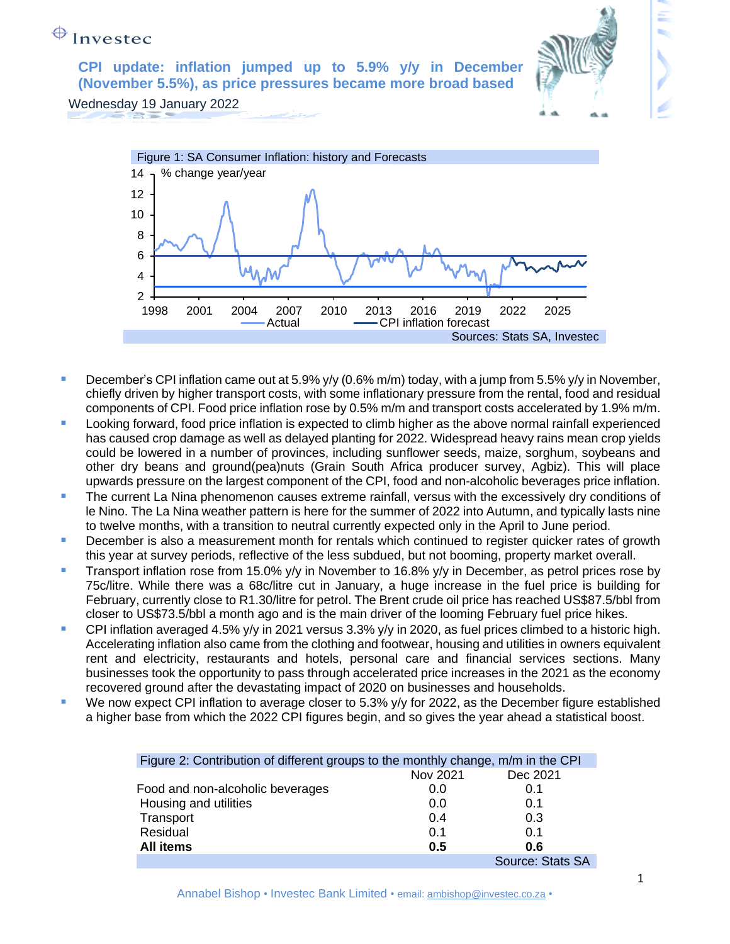**CPI update: inflation jumped up to 5.9% y/y in December (November 5.5%), as price pressures became more broad based**



Wednesday 19 January 2022



- **December's CPI inflation came out at 5.9% y/y (0.6% m/m) today, with a jump from 5.5% y/y in November,** chiefly driven by higher transport costs, with some inflationary pressure from the rental, food and residual components of CPI. Food price inflation rose by 0.5% m/m and transport costs accelerated by 1.9% m/m.
- **EXECT** Looking forward, food price inflation is expected to climb higher as the above normal rainfall experienced has caused crop damage as well as delayed planting for 2022. Widespread heavy rains mean crop yields could be lowered in a number of provinces, including sunflower seeds, maize, sorghum, soybeans and other dry beans and ground(pea)nuts (Grain South Africa producer survey, Agbiz). This will place upwards pressure on the largest component of the CPI, food and non-alcoholic beverages price inflation.
- **•** The current La Nina phenomenon causes extreme rainfall, versus with the excessively dry conditions of le Nino. The La Nina weather pattern is here for the summer of 2022 into Autumn, and typically lasts nine to twelve months, with a transition to neutral currently expected only in the April to June period.
- December is also a measurement month for rentals which continued to register quicker rates of growth this year at survey periods, reflective of the less subdued, but not booming, property market overall.
- **Transport inflation rose from 15.0% y/y in November to 16.8% y/y in December, as petrol prices rose by** 75c/litre. While there was a 68c/litre cut in January, a huge increase in the fuel price is building for February, currently close to R1.30/litre for petrol. The Brent crude oil price has reached US\$87.5/bbl from closer to US\$73.5/bbl a month ago and is the main driver of the looming February fuel price hikes.
- CPI inflation averaged 4.5% y/y in 2021 versus 3.3% y/y in 2020, as fuel prices climbed to a historic high. Accelerating inflation also came from the clothing and footwear, housing and utilities in owners equivalent rent and electricity, restaurants and hotels, personal care and financial services sections. Many businesses took the opportunity to pass through accelerated price increases in the 2021 as the economy recovered ground after the devastating impact of 2020 on businesses and households.
- We now expect CPI inflation to average closer to  $5.3\%$  y/y for 2022, as the December figure established a higher base from which the 2022 CPI figures begin, and so gives the year ahead a statistical boost.

| Figure 2: Contribution of different groups to the monthly change, m/m in the CPI |          |                  |
|----------------------------------------------------------------------------------|----------|------------------|
|                                                                                  | Nov 2021 | Dec 2021         |
| Food and non-alcoholic beverages                                                 | 0.0      | 0.1              |
| Housing and utilities                                                            | 0.0      | 0.1              |
| Transport                                                                        | 0.4      | 0.3              |
| Residual                                                                         | 0.1      | 0.1              |
| <b>All items</b>                                                                 | 0.5      | 0.6              |
|                                                                                  |          | Source: Stats SA |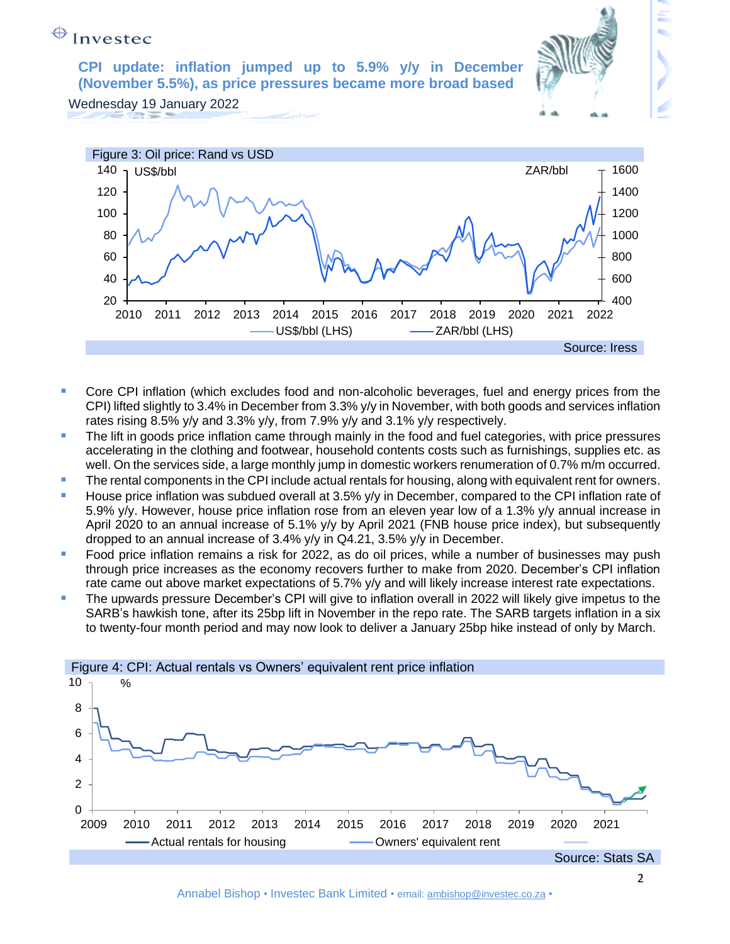**CPI update: inflation jumped up to 5.9% y/y in December (November 5.5%), as price pressures became more broad based**

Wednesday 19 January 2022



- **•** Core CPI inflation (which excludes food and non-alcoholic beverages, fuel and energy prices from the CPI) lifted slightly to 3.4% in December from 3.3% y/y in November, with both goods and services inflation rates rising 8.5% y/y and 3.3% y/y, from 7.9% y/y and 3.1% y/y respectively.
- The lift in goods price inflation came through mainly in the food and fuel categories, with price pressures accelerating in the clothing and footwear, household contents costs such as furnishings, supplies etc. as well. On the services side, a large monthly jump in domestic workers renumeration of 0.7% m/m occurred.
- **The rental components in the CPI include actual rentals for housing, along with equivalent rent for owners.**
- **E** House price inflation was subdued overall at 3.5% y/y in December, compared to the CPI inflation rate of 5.9% y/y. However, house price inflation rose from an eleven year low of a 1.3% y/y annual increase in April 2020 to an annual increase of 5.1% y/y by April 2021 (FNB house price index), but subsequently dropped to an annual increase of 3.4% y/y in Q4.21, 3.5% y/y in December.
- Food price inflation remains a risk for 2022, as do oil prices, while a number of businesses may push through price increases as the economy recovers further to make from 2020. December's CPI inflation rate came out above market expectations of 5.7% y/y and will likely increase interest rate expectations.
- The upwards pressure December's CPI will give to inflation overall in 2022 will likely give impetus to the SARB's hawkish tone, after its 25bp lift in November in the repo rate. The SARB targets inflation in a six to twenty-four month period and may now look to deliver a January 25bp hike instead of only by March.

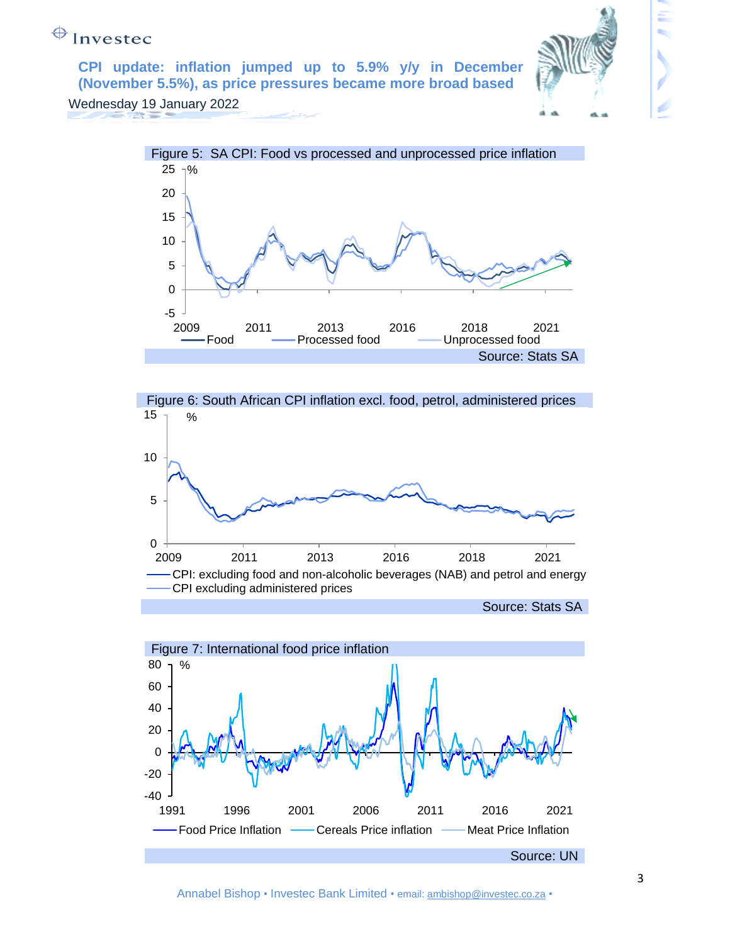**CPI update: inflation jumped up to 5.9% y/y in December (November 5.5%), as price pressures became more broad based**



Wednesday 19 January 2022





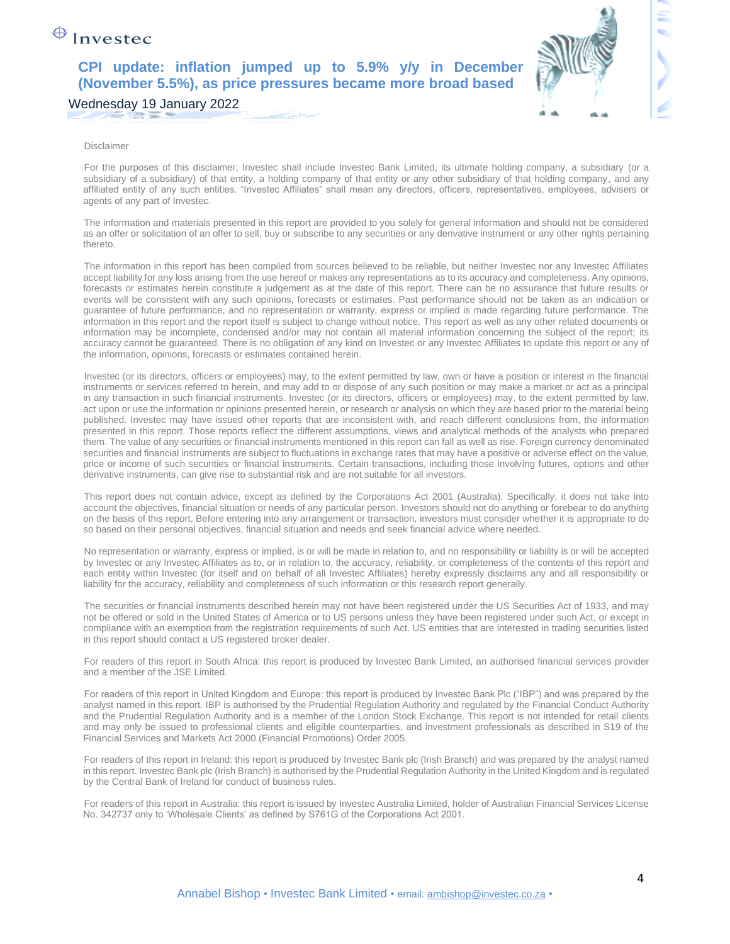#### **CPI update: inflation jumped up to 5.9% y/y in December (November 5.5%), as price pressures became more broad based**

Wednesday 19 January 2022

#### Disclaimer

For the purposes of this disclaimer, Investec shall include Investec Bank Limited, its ultimate holding company, a subsidiary (or a subsidiary of a subsidiary) of that entity, a holding company of that entity or any other subsidiary of that holding company, and any affiliated entity of any such entities. "Investec Affiliates" shall mean any directors, officers, representatives, employees, advisers or agents of any part of Investec.

The information and materials presented in this report are provided to you solely for general information and should not be considered as an offer or solicitation of an offer to sell, buy or subscribe to any securities or any derivative instrument or any other rights pertaining thereto.

The information in this report has been compiled from sources believed to be reliable, but neither Investec nor any Investec Affiliates accept liability for any loss arising from the use hereof or makes any representations as to its accuracy and completeness. Any opinions, forecasts or estimates herein constitute a judgement as at the date of this report. There can be no assurance that future results or events will be consistent with any such opinions, forecasts or estimates. Past performance should not be taken as an indication or guarantee of future performance, and no representation or warranty, express or implied is made regarding future performance. The information in this report and the report itself is subject to change without notice. This report as well as any other related documents or information may be incomplete, condensed and/or may not contain all material information concerning the subject of the report; its accuracy cannot be guaranteed. There is no obligation of any kind on Investec or any Investec Affiliates to update this report or any of the information, opinions, forecasts or estimates contained herein.

Investec (or its directors, officers or employees) may, to the extent permitted by law, own or have a position or interest in the financial instruments or services referred to herein, and may add to or dispose of any such position or may make a market or act as a principal in any transaction in such financial instruments. Investec (or its directors, officers or employees) may, to the extent permitted by law, act upon or use the information or opinions presented herein, or research or analysis on which they are based prior to the material being published. Investec may have issued other reports that are inconsistent with, and reach different conclusions from, the information presented in this report. Those reports reflect the different assumptions, views and analytical methods of the analysts who prepared them. The value of any securities or financial instruments mentioned in this report can fall as well as rise. Foreign currency denominated securities and financial instruments are subject to fluctuations in exchange rates that may have a positive or adverse effect on the value, price or income of such securities or financial instruments. Certain transactions, including those involving futures, options and other derivative instruments, can give rise to substantial risk and are not suitable for all investors.

This report does not contain advice, except as defined by the Corporations Act 2001 (Australia). Specifically, it does not take into account the objectives, financial situation or needs of any particular person. Investors should not do anything or forebear to do anything on the basis of this report. Before entering into any arrangement or transaction, investors must consider whether it is appropriate to do so based on their personal objectives, financial situation and needs and seek financial advice where needed.

No representation or warranty, express or implied, is or will be made in relation to, and no responsibility or liability is or will be accepted by Investec or any Investec Affiliates as to, or in relation to, the accuracy, reliability, or completeness of the contents of this report and each entity within Investec (for itself and on behalf of all Investec Affiliates) hereby expressly disclaims any and all responsibility or liability for the accuracy, reliability and completeness of such information or this research report generally.

The securities or financial instruments described herein may not have been registered under the US Securities Act of 1933, and may not be offered or sold in the United States of America or to US persons unless they have been registered under such Act, or except in compliance with an exemption from the registration requirements of such Act. US entities that are interested in trading securities listed in this report should contact a US registered broker dealer.

For readers of this report in South Africa: this report is produced by Investec Bank Limited, an authorised financial services provider and a member of the JSE Limited.

For readers of this report in United Kingdom and Europe: this report is produced by Investec Bank Plc ("IBP") and was prepared by the analyst named in this report. IBP is authorised by the Prudential Regulation Authority and regulated by the Financial Conduct Authority and the Prudential Regulation Authority and is a member of the London Stock Exchange. This report is not intended for retail clients and may only be issued to professional clients and eligible counterparties, and investment professionals as described in S19 of the Financial Services and Markets Act 2000 (Financial Promotions) Order 2005.

For readers of this report in Ireland: this report is produced by Investec Bank plc (Irish Branch) and was prepared by the analyst named in this report. Investec Bank plc (Irish Branch) is authorised by the Prudential Regulation Authority in the United Kingdom and is regulated by the Central Bank of Ireland for conduct of business rules.

For readers of this report in Australia: this report is issued by Investec Australia Limited, holder of Australian Financial Services License No. 342737 only to 'Wholesale Clients' as defined by S761G of the Corporations Act 2001.